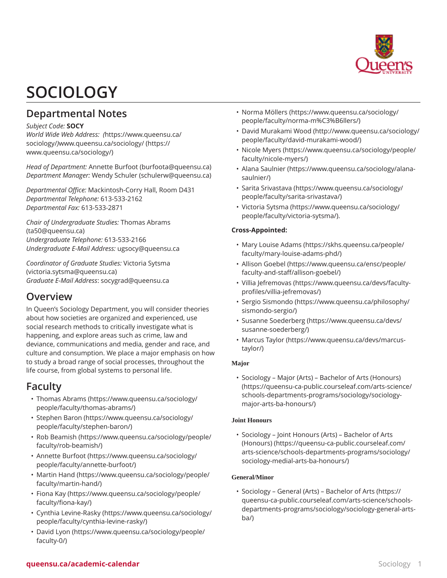

# **SOCIOLOGY**

# **Departmental Notes**

#### *Subject Code:* **SOCY**

*World Wide Web Address[:](https://www.queensu.ca/sociology/) (*[https://www.queensu.ca/](https://www.queensu.ca/sociology/) [sociology/](https://www.queensu.ca/sociology/)*)*[www.queensu.ca/sociology/](https://www.queensu.ca/sociology/) [\(https://](https://www.queensu.ca/sociology/) [www.queensu.ca/sociology/\)](https://www.queensu.ca/sociology/)

*Head of Department:* [Annette Burfoot](mailto:burfoota@queensu.ca) [\(burfoota@queensu.ca](burfoota@queensu.ca)) *Department Manager:* Wendy [Schuler](mailto:schulerw@queensu.ca) [\(schulerw@queensu.ca\)](schulerw@queensu.ca)

*Departmental Office:* Mackintosh-Corry Hall, Room D431 *Departmental Telephone:* 613-533-2162 *Departmental Fax:* 613-533-2871

*Chair of Undergraduate Studies:* [Thomas](mailto:ta50@queensu.ca) Abrams (<ta50@queensu.ca>) *Undergraduate Telephone:* 613-533-2166 *Undergraduate E-Mail Address:* [ugsocy@queensu.ca](mailto:ugsocy@queensu.ca)

*Coordinator of Graduate Studies:* [Victoria Sytsma](mailto:victoria.sytsma@queensu.ca) ([victoria.sytsma@queensu.ca\)](victoria.sytsma@queensu.ca) *Graduate E-Mail Address*: [socygrad@queensu.ca](mailto:socygrad@queensu.ca)

# **Overview**

In Queen's Sociology Department, you will consider theories about how societies are organized and experienced, use social research methods to critically investigate what is happening, and explore areas such as crime, law and deviance, communications and media, gender and race, and culture and consumption. We place a major emphasis on how to study a broad range of social processes, throughout the life course, from global systems to personal life.

# **Faculty**

- [Thomas](https://www.queensu.ca/sociology/people/faculty/thomas-abrams/) Abrams [\(https://www.queensu.ca/sociology/](https://www.queensu.ca/sociology/people/faculty/thomas-abrams/) [people/faculty/thomas-abrams/\)](https://www.queensu.ca/sociology/people/faculty/thomas-abrams/)
- [Stephen](https://www.queensu.ca/sociology/people/faculty/stephen-baron/) Baron [\(https://www.queensu.ca/sociology/](https://www.queensu.ca/sociology/people/faculty/stephen-baron/) [people/faculty/stephen-baron/\)](https://www.queensu.ca/sociology/people/faculty/stephen-baron/)
- [Rob Beamish](https://www.queensu.ca/sociology/people/faculty/rob-beamish/) [\(https://www.queensu.ca/sociology/people/](https://www.queensu.ca/sociology/people/faculty/rob-beamish/) [faculty/rob-beamish/\)](https://www.queensu.ca/sociology/people/faculty/rob-beamish/)
- [Annette Burfoot](https://www.queensu.ca/sociology/people/faculty/annette-burfoot/) ([https://www.queensu.ca/sociology/](https://www.queensu.ca/sociology/people/faculty/annette-burfoot/) [people/faculty/annette-burfoot/\)](https://www.queensu.ca/sociology/people/faculty/annette-burfoot/)
- [Martin Hand](https://www.queensu.ca/sociology/people/faculty/martin-hand/) ([https://www.queensu.ca/sociology/people/](https://www.queensu.ca/sociology/people/faculty/martin-hand/) [faculty/martin-hand/\)](https://www.queensu.ca/sociology/people/faculty/martin-hand/)
- [Fiona Kay](https://www.queensu.ca/sociology/people/faculty/fiona-kay/) [\(https://www.queensu.ca/sociology/people/](https://www.queensu.ca/sociology/people/faculty/fiona-kay/) [faculty/fiona-kay/\)](https://www.queensu.ca/sociology/people/faculty/fiona-kay/)
- Cynthia [Levine-Rasky](https://www.queensu.ca/sociology/people/faculty/cynthia-levine-rasky/) ([https://www.queensu.ca/sociology/](https://www.queensu.ca/sociology/people/faculty/cynthia-levine-rasky/) [people/faculty/cynthia-levine-rasky/](https://www.queensu.ca/sociology/people/faculty/cynthia-levine-rasky/))
- [David Lyon](https://www.queensu.ca/sociology/people/faculty-0/) [\(https://www.queensu.ca/sociology/people/](https://www.queensu.ca/sociology/people/faculty-0/) [faculty-0/](https://www.queensu.ca/sociology/people/faculty-0/))
- [Norma Möllers](https://www.queensu.ca/sociology/people/faculty/norma-m%C3%B6llers/) ([https://www.queensu.ca/sociology/](https://www.queensu.ca/sociology/people/faculty/norma-m%C3%B6llers/) [people/faculty/norma-m%C3%B6llers/](https://www.queensu.ca/sociology/people/faculty/norma-m%C3%B6llers/))
- David [Murakami](http://www.queensu.ca/sociology/people/faculty/david-murakami-wood/) Wood ([http://www.queensu.ca/sociology/](http://www.queensu.ca/sociology/people/faculty/david-murakami-wood/) [people/faculty/david-murakami-wood/](http://www.queensu.ca/sociology/people/faculty/david-murakami-wood/))
- [Nicole Myers](https://www.queensu.ca/sociology/people/faculty/nicole-myers/) [\(https://www.queensu.ca/sociology/people/](https://www.queensu.ca/sociology/people/faculty/nicole-myers/) [faculty/nicole-myers/](https://www.queensu.ca/sociology/people/faculty/nicole-myers/))
- [Alana Saulnier](https://www.queensu.ca/sociology/alana-saulnier/) [\(https://www.queensu.ca/sociology/alana](https://www.queensu.ca/sociology/alana-saulnier/)[saulnier/](https://www.queensu.ca/sociology/alana-saulnier/))
- [Sarita Srivastava](https://www.queensu.ca/sociology/people/faculty/sarita-srivastava/) ([https://www.queensu.ca/sociology/](https://www.queensu.ca/sociology/people/faculty/sarita-srivastava/) [people/faculty/sarita-srivastava/\)](https://www.queensu.ca/sociology/people/faculty/sarita-srivastava/)
- [Victoria Sytsma](https://www.queensu.ca/sociology/people/faculty/victoria-sytsma/) [\(https://www.queensu.ca/sociology/](https://www.queensu.ca/sociology/people/faculty/victoria-sytsma/) [people/faculty/victoria-sytsma/\)](https://www.queensu.ca/sociology/people/faculty/victoria-sytsma/).

# **Cross-Appointed:**

- [Mary Louise Adams](https://skhs.queensu.ca/people/faculty/mary-louise-adams-phd/) [\(https://skhs.queensu.ca/people/](https://skhs.queensu.ca/people/faculty/mary-louise-adams-phd/) [faculty/mary-louise-adams-phd/](https://skhs.queensu.ca/people/faculty/mary-louise-adams-phd/))
- [Allison Goebel](https://www.queensu.ca/ensc/people/faculty-and-staff/allison-goebel/) [\(https://www.queensu.ca/ensc/people/](https://www.queensu.ca/ensc/people/faculty-and-staff/allison-goebel/) [faculty-and-staff/allison-goebel/](https://www.queensu.ca/ensc/people/faculty-and-staff/allison-goebel/))
- Villia [Jefremovas](https://www.queensu.ca/devs/faculty-profiles/villia-jefremovas/) [\(https://www.queensu.ca/devs/faculty](https://www.queensu.ca/devs/faculty-profiles/villia-jefremovas/)[profiles/villia-jefremovas/](https://www.queensu.ca/devs/faculty-profiles/villia-jefremovas/))
- Sergio [Sismondo](https://www.queensu.ca/philosophy/sismondo-sergio/) ([https://www.queensu.ca/philosophy/](https://www.queensu.ca/philosophy/sismondo-sergio/) [sismondo-sergio/](https://www.queensu.ca/philosophy/sismondo-sergio/))
- Susanne [Soederberg](https://www.queensu.ca/devs/susanne-soederberg/) [\(https://www.queensu.ca/devs/](https://www.queensu.ca/devs/susanne-soederberg/) [susanne-soederberg/\)](https://www.queensu.ca/devs/susanne-soederberg/)
- [Marcus](https://www.queensu.ca/devs/marcus-taylor/) Taylor [\(https://www.queensu.ca/devs/marcus](https://www.queensu.ca/devs/marcus-taylor/)[taylor/\)](https://www.queensu.ca/devs/marcus-taylor/)

# **Major**

• [Sociology – Major \(Arts\) – Bachelor of Arts \(Honours\)](https://queensu-ca-public.courseleaf.com/arts-science/schools-departments-programs/sociology/sociology-major-arts-ba-honours/) ([https://queensu-ca-public.courseleaf.com/arts-science/](https://queensu-ca-public.courseleaf.com/arts-science/schools-departments-programs/sociology/sociology-major-arts-ba-honours/) [schools-departments-programs/sociology/sociology](https://queensu-ca-public.courseleaf.com/arts-science/schools-departments-programs/sociology/sociology-major-arts-ba-honours/)[major-arts-ba-honours/](https://queensu-ca-public.courseleaf.com/arts-science/schools-departments-programs/sociology/sociology-major-arts-ba-honours/))

# **Joint Honours**

• [Sociology – Joint Honours \(Arts\) – Bachelor of Arts](https://queensu-ca-public.courseleaf.com/arts-science/schools-departments-programs/sociology/sociology-medial-arts-ba-honours/) [\(Honours\)](https://queensu-ca-public.courseleaf.com/arts-science/schools-departments-programs/sociology/sociology-medial-arts-ba-honours/) [\(https://queensu-ca-public.courseleaf.com/](https://queensu-ca-public.courseleaf.com/arts-science/schools-departments-programs/sociology/sociology-medial-arts-ba-honours/) [arts-science/schools-departments-programs/sociology/](https://queensu-ca-public.courseleaf.com/arts-science/schools-departments-programs/sociology/sociology-medial-arts-ba-honours/) [sociology-medial-arts-ba-honours/](https://queensu-ca-public.courseleaf.com/arts-science/schools-departments-programs/sociology/sociology-medial-arts-ba-honours/))

# **General/Minor**

• [Sociology](https://queensu-ca-public.courseleaf.com/arts-science/schools-departments-programs/sociology/sociology-general-arts-ba/) – General (Arts) – Bachelor of Arts [\(https://](https://queensu-ca-public.courseleaf.com/arts-science/schools-departments-programs/sociology/sociology-general-arts-ba/) [queensu-ca-public.courseleaf.com/arts-science/schools](https://queensu-ca-public.courseleaf.com/arts-science/schools-departments-programs/sociology/sociology-general-arts-ba/)[departments-programs/sociology/sociology-general-arts](https://queensu-ca-public.courseleaf.com/arts-science/schools-departments-programs/sociology/sociology-general-arts-ba/)[ba/](https://queensu-ca-public.courseleaf.com/arts-science/schools-departments-programs/sociology/sociology-general-arts-ba/))

# **queensu.ca/academic-calendar Sociology 1 and Sociology 1**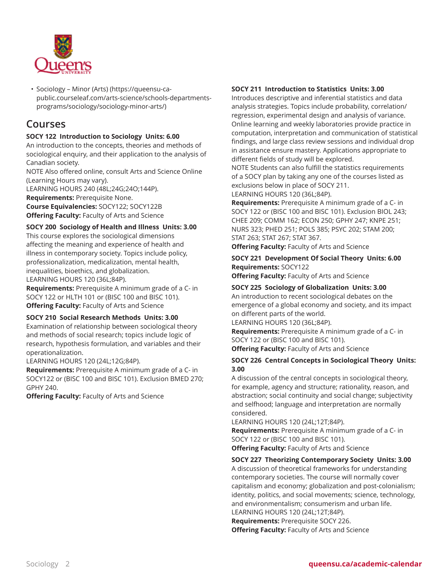

• [Sociology – Minor \(Arts\)](https://queensu-ca-public.courseleaf.com/arts-science/schools-departments-programs/sociology/sociology-minor-arts/) [\(https://queensu-ca](https://queensu-ca-public.courseleaf.com/arts-science/schools-departments-programs/sociology/sociology-minor-arts/)[public.courseleaf.com/arts-science/schools-departments](https://queensu-ca-public.courseleaf.com/arts-science/schools-departments-programs/sociology/sociology-minor-arts/)[programs/sociology/sociology-minor-arts/](https://queensu-ca-public.courseleaf.com/arts-science/schools-departments-programs/sociology/sociology-minor-arts/))

# **Courses**

# **SOCY 122 Introduction to Sociology Units: 6.00**

An introduction to the concepts, theories and methods of sociological enquiry, and their application to the analysis of Canadian society.

NOTE Also offered online, consult Arts and Science Online (Learning Hours may vary).

LEARNING HOURS 240 (48L;24G;24O;144P).

**Requirements:** Prerequisite None.

**Course Equivalencies:** SOCY122; SOCY122B **Offering Faculty:** Faculty of Arts and Science

# **SOCY 200 Sociology of Health and Illness Units: 3.00**

This course explores the sociological dimensions affecting the meaning and experience of health and illness in contemporary society. Topics include policy, professionalization, medicalization, mental health, inequalities, bioethics, and globalization. LEARNING HOURS 120 (36L;84P).

**Requirements:** Prerequisite A minimum grade of a C- in SOCY 122 or HLTH 101 or (BISC 100 and BISC 101). **Offering Faculty:** Faculty of Arts and Science

#### **SOCY 210 Social Research Methods Units: 3.00**

Examination of relationship between sociological theory and methods of social research; topics include logic of research, hypothesis formulation, and variables and their operationalization.

LEARNING HOURS 120 (24L;12G;84P).

**Requirements:** Prerequisite A minimum grade of a C- in SOCY122 or (BISC 100 and BISC 101). Exclusion BMED 270; GPHY 240.

**Offering Faculty:** Faculty of Arts and Science

# **SOCY 211 Introduction to Statistics Units: 3.00**

Introduces descriptive and inferential statistics and data analysis strategies. Topics include probability, correlation/ regression, experimental design and analysis of variance. Online learning and weekly laboratories provide practice in computation, interpretation and communication of statistical findings, and large class review sessions and individual drop in assistance ensure mastery. Applications appropriate to different fields of study will be explored.

NOTE Students can also fulfill the statistics requirements of a SOCY plan by taking any one of the courses listed as exclusions below in place of SOCY 211. LEARNING HOURS 120 (36L;84P).

**Requirements:** Prerequisite A minimum grade of a C- in SOCY 122 or (BISC 100 and BISC 101). Exclusion BIOL 243; CHEE 209; COMM 162; ECON 250; GPHY 247; KNPE 251; NURS 323; PHED 251; POLS 385; PSYC 202; STAM 200; STAT 263; STAT 267; STAT 367.

**Offering Faculty:** Faculty of Arts and Science

#### **SOCY 221 Development Of Social Theory Units: 6.00 Requirements:** SOCY122 **Offering Faculty:** Faculty of Arts and Science

# **SOCY 225 Sociology of Globalization Units: 3.00**

An introduction to recent sociological debates on the emergence of a global economy and society, and its impact on different parts of the world.

LEARNING HOURS 120 (36L;84P).

**Requirements:** Prerequisite A minimum grade of a C- in SOCY 122 or (BISC 100 and BISC 101).

**Offering Faculty:** Faculty of Arts and Science

# **SOCY 226 Central Concepts in Sociological Theory Units: 3.00**

A discussion of the central concepts in sociological theory, for example, agency and structure; rationality, reason, and abstraction; social continuity and social change; subjectivity and selfhood; language and interpretation are normally considered.

LEARNING HOURS 120 (24L;12T;84P). **Requirements:** Prerequisite A minimum grade of a C- in SOCY 122 or (BISC 100 and BISC 101). **Offering Faculty:** Faculty of Arts and Science

# **SOCY 227 Theorizing Contemporary Society Units: 3.00**

A discussion of theoretical frameworks for understanding contemporary societies. The course will normally cover capitalism and economy; globalization and post-colonialism; identity, politics, and social movements; science, technology, and environmentalism; consumerism and urban life.

LEARNING HOURS 120 (24L;12T;84P). **Requirements:** Prerequisite SOCY 226.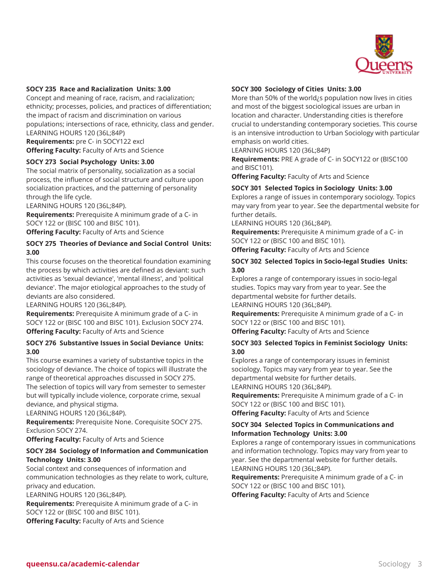

#### **SOCY 235 Race and Racialization Units: 3.00**

Concept and meaning of race, racism, and racialization; ethnicity; processes, policies, and practices of differentiation; the impact of racism and discrimination on various populations; intersections of race, ethnicity, class and gender. LEARNING HOURS 120 (36L;84P)

**Requirements:** pre C- in SOCY122 excl **Offering Faculty:** Faculty of Arts and Science

#### **SOCY 273 Social Psychology Units: 3.00**

The social matrix of personality, socialization as a social process, the influence of social structure and culture upon socialization practices, and the patterning of personality through the life cycle.

LEARNING HOURS 120 (36L;84P).

**Requirements:** Prerequisite A minimum grade of a C- in SOCY 122 or (BISC 100 and BISC 101). **Offering Faculty:** Faculty of Arts and Science

#### **SOCY 275 Theories of Deviance and Social Control Units: 3.00**

This course focuses on the theoretical foundation examining the process by which activities are defined as deviant: such activities as 'sexual deviance', 'mental illness', and 'political deviance'. The major etiological approaches to the study of deviants are also considered.

LEARNING HOURS 120 (36L;84P).

**Requirements:** Prerequisite A minimum grade of a C- in SOCY 122 or (BISC 100 and BISC 101). Exclusion SOCY 274. **Offering Faculty:** Faculty of Arts and Science

#### **SOCY 276 Substantive Issues in Social Deviance Units: 3.00**

This course examines a variety of substantive topics in the sociology of deviance. The choice of topics will illustrate the range of theoretical approaches discussed in SOCY 275. The selection of topics will vary from semester to semester but will typically include violence, corporate crime, sexual deviance, and physical stigma.

LEARNING HOURS 120 (36L;84P).

**Requirements:** Prerequisite None. Corequisite SOCY 275. Exclusion SOCY 274.

**Offering Faculty:** Faculty of Arts and Science

#### **SOCY 284 Sociology of Information and Communication Technology Units: 3.00**

Social context and consequences of information and communication technologies as they relate to work, culture, privacy and education.

LEARNING HOURS 120 (36L;84P).

**Requirements:** Prerequisite A minimum grade of a C- in SOCY 122 or (BISC 100 and BISC 101). **Offering Faculty:** Faculty of Arts and Science

#### **SOCY 300 Sociology of Cities Units: 3.00**

More than 50% of the world¿s population now lives in cities and most of the biggest sociological issues are urban in location and character. Understanding cities is therefore crucial to understanding contemporary societies. This course is an intensive introduction to Urban Sociology with particular emphasis on world cities.

LEARNING HOURS 120 (36L;84P)

**Requirements:** PRE A grade of C- in SOCY122 or (BISC100 and BISC101).

**Offering Faculty:** Faculty of Arts and Science

#### **SOCY 301 Selected Topics in Sociology Units: 3.00**

Explores a range of issues in contemporary sociology. Topics may vary from year to year. See the departmental website for further details.

LEARNING HOURS 120 (36L;84P).

**Requirements:** Prerequisite A minimum grade of a C- in SOCY 122 or (BISC 100 and BISC 101).

**Offering Faculty:** Faculty of Arts and Science

#### **SOCY 302 Selected Topics in Socio-legal Studies Units: 3.00**

Explores a range of contemporary issues in socio-legal studies. Topics may vary from year to year. See the departmental website for further details. LEARNING HOURS 120 (36L;84P).

**Requirements:** Prerequisite A minimum grade of a C- in

SOCY 122 or (BISC 100 and BISC 101).

**Offering Faculty:** Faculty of Arts and Science

#### **SOCY 303 Selected Topics in Feminist Sociology Units: 3.00**

Explores a range of contemporary issues in feminist sociology. Topics may vary from year to year. See the departmental website for further details. LEARNING HOURS 120 (36L;84P).

**Requirements:** Prerequisite A minimum grade of a C- in SOCY 122 or (BISC 100 and BISC 101). **Offering Faculty:** Faculty of Arts and Science

**SOCY 304 Selected Topics in Communications and Information Technology Units: 3.00**

Explores a range of contemporary issues in communications and information technology. Topics may vary from year to year. See the departmental website for further details. LEARNING HOURS 120 (36L;84P).

**Requirements:** Prerequisite A minimum grade of a C- in SOCY 122 or (BISC 100 and BISC 101).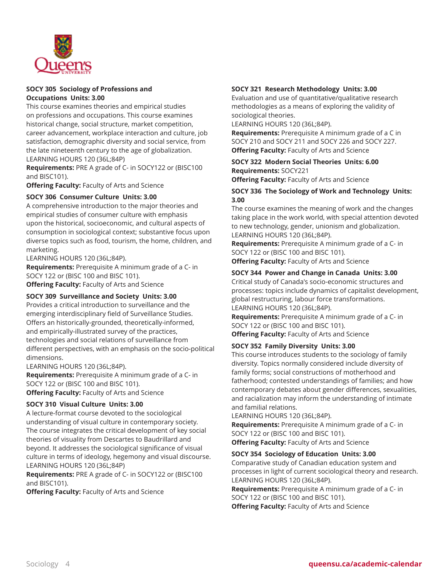

#### **SOCY 305 Sociology of Professions and Occupations Units: 3.00**

This course examines theories and empirical studies on professions and occupations. This course examines historical change, social structure, market competition, career advancement, workplace interaction and culture, job satisfaction, demographic diversity and social service, from the late nineteenth century to the age of globalization. LEARNING HOURS 120 (36L;84P)

**Requirements:** PRE A grade of C- in SOCY122 or (BISC100 and BISC101).

**Offering Faculty:** Faculty of Arts and Science

# **SOCY 306 Consumer Culture Units: 3.00**

A comprehensive introduction to the major theories and empirical studies of consumer culture with emphasis upon the historical, socioeconomic, and cultural aspects of consumption in sociological context; substantive focus upon diverse topics such as food, tourism, the home, children, and marketing.

LEARNING HOURS 120 (36L;84P).

**Requirements:** Prerequisite A minimum grade of a C- in SOCY 122 or (BISC 100 and BISC 101). **Offering Faculty:** Faculty of Arts and Science

#### **SOCY 309 Surveillance and Society Units: 3.00**

Provides a critical introduction to surveillance and the emerging interdisciplinary field of Surveillance Studies. Offers an historically-grounded, theoretically-informed, and empirically-illustrated survey of the practices, technologies and social relations of surveillance from different perspectives, with an emphasis on the socio-political dimensions.

LEARNING HOURS 120 (36L;84P).

**Requirements:** Prerequisite A minimum grade of a C- in SOCY 122 or (BISC 100 and BISC 101). **Offering Faculty:** Faculty of Arts and Science

#### **SOCY 310 Visual Culture Units: 3.00**

A lecture-format course devoted to the sociological understanding of visual culture in contemporary society. The course integrates the critical development of key social theories of visuality from Descartes to Baudrillard and beyond. It addresses the sociological significance of visual culture in terms of ideology, hegemony and visual discourse. LEARNING HOURS 120 (36L;84P)

**Requirements:** PRE A grade of C- in SOCY122 or (BISC100 and BISC101).

**Offering Faculty:** Faculty of Arts and Science

# **SOCY 321 Research Methodology Units: 3.00**

Evaluation and use of quantitative/qualitative research methodologies as a means of exploring the validity of sociological theories.

LEARNING HOURS 120 (36L;84P).

**Requirements:** Prerequisite A minimum grade of a C in SOCY 210 and SOCY 211 and SOCY 226 and SOCY 227. **Offering Faculty:** Faculty of Arts and Science

#### **SOCY 322 Modern Social Theories Units: 6.00 Requirements:** SOCY221 **Offering Faculty:** Faculty of Arts and Science

**SOCY 336 The Sociology of Work and Technology Units: 3.00**

The course examines the meaning of work and the changes taking place in the work world, with special attention devoted to new technology, gender, unionism and globalization. LEARNING HOURS 120 (36L;84P).

**Requirements:** Prerequisite A minimum grade of a C- in SOCY 122 or (BISC 100 and BISC 101).

**Offering Faculty:** Faculty of Arts and Science

#### **SOCY 344 Power and Change in Canada Units: 3.00**

Critical study of Canada's socio-economic structures and processes: topics include dynamics of capitalist development, global restructuring, labour force transformations. LEARNING HOURS 120 (36L;84P).

**Requirements:** Prerequisite A minimum grade of a C- in SOCY 122 or (BISC 100 and BISC 101).

**Offering Faculty:** Faculty of Arts and Science

#### **SOCY 352 Family Diversity Units: 3.00**

This course introduces students to the sociology of family diversity. Topics normally considered include diversity of family forms; social constructions of motherhood and fatherhood; contested understandings of families; and how contemporary debates about gender differences, sexualities, and racialization may inform the understanding of intimate and familial relations.

LEARNING HOURS 120 (36L;84P).

**Requirements:** Prerequisite A minimum grade of a C- in SOCY 122 or (BISC 100 and BISC 101).

**Offering Faculty:** Faculty of Arts and Science

#### **SOCY 354 Sociology of Education Units: 3.00**

Comparative study of Canadian education system and processes in light of current sociological theory and research. LEARNING HOURS 120 (36L;84P).

**Requirements:** Prerequisite A minimum grade of a C- in SOCY 122 or (BISC 100 and BISC 101). **Offering Faculty:** Faculty of Arts and Science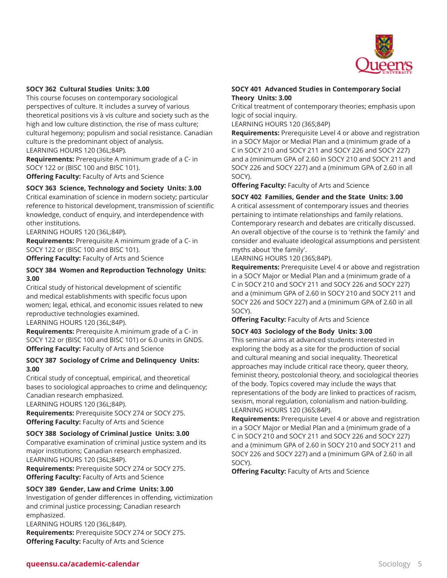

#### **SOCY 362 Cultural Studies Units: 3.00**

This course focuses on contemporary sociological perspectives of culture. It includes a survey of various theoretical positions vis à vis culture and society such as the high and low culture distinction, the rise of mass culture; cultural hegemony; populism and social resistance. Canadian culture is the predominant object of analysis.

LEARNING HOURS 120 (36L;84P).

**Requirements:** Prerequisite A minimum grade of a C- in SOCY 122 or (BISC 100 and BISC 101).

**Offering Faculty:** Faculty of Arts and Science

#### **SOCY 363 Science, Technology and Society Units: 3.00**

Critical examination of science in modern society; particular reference to historical development, transmission of scientific knowledge, conduct of enquiry, and interdependence with other institutions.

LEARNING HOURS 120 (36L;84P).

**Requirements:** Prerequisite A minimum grade of a C- in SOCY 122 or (BISC 100 and BISC 101). **Offering Faculty:** Faculty of Arts and Science

#### **SOCY 384 Women and Reproduction Technology Units: 3.00**

Critical study of historical development of scientific and medical establishments with specific focus upon women; legal, ethical, and economic issues related to new reproductive technologies examined. LEARNING HOURS 120 (36L;84P).

**Requirements:** Prerequisite A minimum grade of a C- in SOCY 122 or (BISC 100 and BISC 101) or 6.0 units in GNDS. **Offering Faculty:** Faculty of Arts and Science

#### **SOCY 387 Sociology of Crime and Delinquency Units: 3.00**

Critical study of conceptual, empirical, and theoretical bases to sociological approaches to crime and delinquency; Canadian research emphasized.

LEARNING HOURS 120 (36L;84P).

**Requirements:** Prerequisite SOCY 274 or SOCY 275. **Offering Faculty:** Faculty of Arts and Science

#### **SOCY 388 Sociology of Criminal Justice Units: 3.00**

Comparative examination of criminal justice system and its major institutions; Canadian research emphasized. LEARNING HOURS 120 (36L;84P).

**Requirements:** Prerequisite SOCY 274 or SOCY 275. **Offering Faculty:** Faculty of Arts and Science

#### **SOCY 389 Gender, Law and Crime Units: 3.00**

Investigation of gender differences in offending, victimization and criminal justice processing; Canadian research emphasized. LEARNING HOURS 120 (36L;84P).

**Requirements:** Prerequisite SOCY 274 or SOCY 275. **Offering Faculty:** Faculty of Arts and Science

#### **SOCY 401 Advanced Studies in Contemporary Social Theory Units: 3.00**

Critical treatment of contemporary theories; emphasis upon logic of social inquiry.

LEARNING HOURS 120 (36S;84P)

**Requirements:** Prerequisite Level 4 or above and registration in a SOCY Major or Medial Plan and a (minimum grade of a C in SOCY 210 and SOCY 211 and SOCY 226 and SOCY 227) and a (minimum GPA of 2.60 in SOCY 210 and SOCY 211 and SOCY 226 and SOCY 227) and a (minimum GPA of 2.60 in all SOCY).

**Offering Faculty:** Faculty of Arts and Science

#### **SOCY 402 Families, Gender and the State Units: 3.00**

A critical assessment of contemporary issues and theories pertaining to intimate relationships and family relations. Contemporary research and debates are critically discussed. An overall objective of the course is to 'rethink the family' and consider and evaluate ideological assumptions and persistent myths about 'the family'.

LEARNING HOURS 120 (36S;84P).

**Requirements:** Prerequisite Level 4 or above and registration in a SOCY Major or Medial Plan and a (minimum grade of a C in SOCY 210 and SOCY 211 and SOCY 226 and SOCY 227) and a (minimum GPA of 2.60 in SOCY 210 and SOCY 211 and SOCY 226 and SOCY 227) and a (minimum GPA of 2.60 in all SOCY).

**Offering Faculty:** Faculty of Arts and Science

#### **SOCY 403 Sociology of the Body Units: 3.00**

This seminar aims at advanced students interested in exploring the body as a site for the production of social and cultural meaning and social inequality. Theoretical approaches may include critical race theory, queer theory, feminist theory, postcolonial theory, and sociological theories of the body. Topics covered may include the ways that representations of the body are linked to practices of racism, sexism, moral regulation, colonialism and nation-building. LEARNING HOURS 120 (36S;84P).

**Requirements:** Prerequisite Level 4 or above and registration in a SOCY Major or Medial Plan and a (minimum grade of a C in SOCY 210 and SOCY 211 and SOCY 226 and SOCY 227) and a (minimum GPA of 2.60 in SOCY 210 and SOCY 211 and SOCY 226 and SOCY 227) and a (minimum GPA of 2.60 in all SOCY).

**Offering Faculty:** Faculty of Arts and Science

# **queensu.ca/academic-calendar Sociology 5**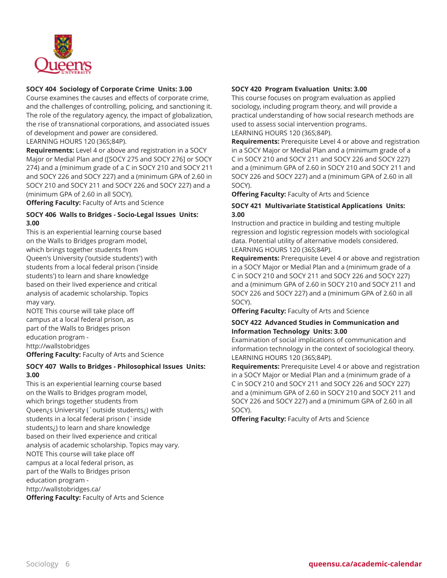

# **SOCY 404 Sociology of Corporate Crime Units: 3.00**

Course examines the causes and effects of corporate crime, and the challenges of controlling, policing, and sanctioning it. The role of the regulatory agency, the impact of globalization, the rise of transnational corporations, and associated issues of development and power are considered.

LEARNING HOURS 120 (36S;84P).

**Requirements:** Level 4 or above and registration in a SOCY Major or Medial Plan and ([SOCY 275 and SOCY 276] or SOCY 274) and a (minimum grade of a C in SOCY 210 and SOCY 211 and SOCY 226 and SOCY 227) and a (minimum GPA of 2.60 in SOCY 210 and SOCY 211 and SOCY 226 and SOCY 227) and a (minimum GPA of 2.60 in all SOCY).

**Offering Faculty:** Faculty of Arts and Science

#### **SOCY 406 Walls to Bridges - Socio-Legal Issues Units: 3.00**

This is an experiential learning course based on the Walls to Bridges program model, which brings together students from Queen's University ('outside students') with students from a local federal prison ('inside students') to learn and share knowledge based on their lived experience and critical analysis of academic scholarship. Topics may vary.

NOTE This course will take place off campus at a local federal prison, as part of the Walls to Bridges prison education program http://wallstobridges **Offering Faculty:** Faculty of Arts and Science

#### **SOCY 407 Walls to Bridges - Philosophical Issues Units: 3.00**

This is an experiential learning course based on the Walls to Bridges program model, which brings together students from Queen¿s University (`outside students¿) with students in a local federal prison (`inside students¿) to learn and share knowledge based on their lived experience and critical analysis of academic scholarship. Topics may vary. NOTE This course will take place off campus at a local federal prison, as part of the Walls to Bridges prison education program http://wallstobridges.ca/ **Offering Faculty:** Faculty of Arts and Science

#### **SOCY 420 Program Evaluation Units: 3.00**

This course focuses on program evaluation as applied sociology, including program theory, and will provide a practical understanding of how social research methods are used to assess social intervention programs. LEARNING HOURS 120 (36S;84P).

**Requirements:** Prerequisite Level 4 or above and registration in a SOCY Major or Medial Plan and a (minimum grade of a C in SOCY 210 and SOCY 211 and SOCY 226 and SOCY 227) and a (minimum GPA of 2.60 in SOCY 210 and SOCY 211 and SOCY 226 and SOCY 227) and a (minimum GPA of 2.60 in all SOCY).

**Offering Faculty:** Faculty of Arts and Science

# **SOCY 421 Multivariate Statistical Applications Units: 3.00**

Instruction and practice in building and testing multiple regression and logistic regression models with sociological data. Potential utility of alternative models considered. LEARNING HOURS 120 (36S;84P).

**Requirements:** Prerequisite Level 4 or above and registration in a SOCY Major or Medial Plan and a (minimum grade of a C in SOCY 210 and SOCY 211 and SOCY 226 and SOCY 227) and a (minimum GPA of 2.60 in SOCY 210 and SOCY 211 and SOCY 226 and SOCY 227) and a (minimum GPA of 2.60 in all SOCY).

**Offering Faculty:** Faculty of Arts and Science

#### **SOCY 422 Advanced Studies in Communication and Information Technology Units: 3.00**

Examination of social implications of communication and information technology in the context of sociological theory. LEARNING HOURS 120 (36S;84P).

**Requirements:** Prerequisite Level 4 or above and registration in a SOCY Major or Medial Plan and a (minimum grade of a C in SOCY 210 and SOCY 211 and SOCY 226 and SOCY 227) and a (minimum GPA of 2.60 in SOCY 210 and SOCY 211 and SOCY 226 and SOCY 227) and a (minimum GPA of 2.60 in all SOCY).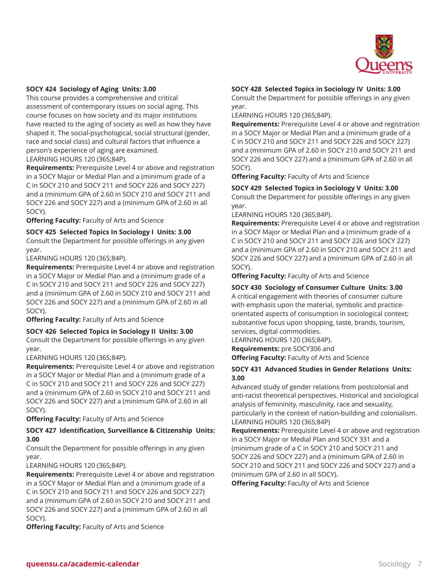

#### **SOCY 424 Sociology of Aging Units: 3.00**

This course provides a comprehensive and critical assessment of contemporary issues on social aging. This course focuses on how society and its major institutions have reacted to the aging of society as well as how they have shaped it. The social-psychological, social structural (gender, race and social class) and cultural factors that influence a person's experience of aging are examined.

LEARNING HOURS 120 (36S;84P).

**Requirements:** Prerequisite Level 4 or above and registration in a SOCY Major or Medial Plan and a (minimum grade of a C in SOCY 210 and SOCY 211 and SOCY 226 and SOCY 227) and a (minimum GPA of 2.60 in SOCY 210 and SOCY 211 and SOCY 226 and SOCY 227) and a (minimum GPA of 2.60 in all SOCY).

**Offering Faculty:** Faculty of Arts and Science

**SOCY 425 Selected Topics In Sociology I Units: 3.00**

Consult the Department for possible offerings in any given year.

LEARNING HOURS 120 (36S;84P).

**Requirements:** Prerequisite Level 4 or above and registration in a SOCY Major or Medial Plan and a (minimum grade of a C in SOCY 210 and SOCY 211 and SOCY 226 and SOCY 227) and a (minimum GPA of 2.60 in SOCY 210 and SOCY 211 and SOCY 226 and SOCY 227) and a (minimum GPA of 2.60 in all SOCY).

**Offering Faculty:** Faculty of Arts and Science

**SOCY 426 Selected Topics in Sociology II Units: 3.00**

Consult the Department for possible offerings in any given year.

LEARNING HOURS 120 (36S;84P).

**Requirements:** Prerequisite Level 4 or above and registration in a SOCY Major or Medial Plan and a (minimum grade of a C in SOCY 210 and SOCY 211 and SOCY 226 and SOCY 227) and a (minimum GPA of 2.60 in SOCY 210 and SOCY 211 and SOCY 226 and SOCY 227) and a (minimum GPA of 2.60 in all SOCY).

**Offering Faculty:** Faculty of Arts and Science

#### **SOCY 427 Identification, Surveillance & Citizenship Units: 3.00**

Consult the Department for possible offerings in any given year.

LEARNING HOURS 120 (36S;84P).

**Requirements:** Prerequisite Level 4 or above and registration in a SOCY Major or Medial Plan and a (minimum grade of a C in SOCY 210 and SOCY 211 and SOCY 226 and SOCY 227) and a (minimum GPA of 2.60 in SOCY 210 and SOCY 211 and SOCY 226 and SOCY 227) and a (minimum GPA of 2.60 in all SOCY).

**Offering Faculty:** Faculty of Arts and Science

# **SOCY 428 Selected Topics in Sociology IV Units: 3.00**

Consult the Department for possible offerings in any given year.

LEARNING HOURS 120 (36S;84P).

**Requirements:** Prerequisite Level 4 or above and registration in a SOCY Major or Medial Plan and a (minimum grade of a C in SOCY 210 and SOCY 211 and SOCY 226 and SOCY 227) and a (minimum GPA of 2.60 in SOCY 210 and SOCY 211 and SOCY 226 and SOCY 227) and a (minimum GPA of 2.60 in all SOCY).

**Offering Faculty:** Faculty of Arts and Science

**SOCY 429 Selected Topics in Sociology V Units: 3.00** Consult the Department for possible offerings in any given year.

LEARNING HOURS 120 (36S;84P).

**Requirements:** Prerequisite Level 4 or above and registration in a SOCY Major or Medial Plan and a (minimum grade of a C in SOCY 210 and SOCY 211 and SOCY 226 and SOCY 227) and a (minimum GPA of 2.60 in SOCY 210 and SOCY 211 and SOCY 226 and SOCY 227) and a (minimum GPA of 2.60 in all SOCY).

**Offering Faculty:** Faculty of Arts and Science

#### **SOCY 430 Sociology of Consumer Culture Units: 3.00**

A critical engagement with theories of consumer culture with emphasis upon the material, symbolic and practiceorientated aspects of consumption in sociological context; substantive focus upon shopping, taste, brands, tourism, services, digital commodities.

LEARNING HOURS 120 (36S;84P). **Requirements:** pre SOCY306 and

**Offering Faculty:** Faculty of Arts and Science

#### **SOCY 431 Advanced Studies in Gender Relations Units: 3.00**

Advanced study of gender relations from postcolonial and anti-racist theoretical perspectives. Historical and sociological analysis of femininity, masculinity, race and sexuality, particularly in the context of nation-building and colonialism. LEARNING HOURS 120 (36S;84P)

**Requirements:** Prerequisite Level 4 or above and registration in a SOCY Major or Medial Plan and SOCY 331 and a (minimum grade of a C in SOCY 210 and SOCY 211 and SOCY 226 and SOCY 227) and a (minimum GPA of 2.60 in SOCY 210 and SOCY 211 and SOCY 226 and SOCY 227) and a (minimum GPA of 2.60 in all SOCY).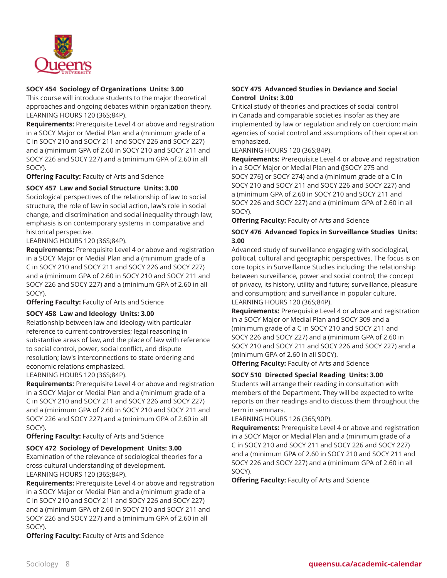

# **SOCY 454 Sociology of Organizations Units: 3.00**

This course will introduce students to the major theoretical approaches and ongoing debates within organization theory. LEARNING HOURS 120 (36S;84P).

**Requirements:** Prerequisite Level 4 or above and registration in a SOCY Major or Medial Plan and a (minimum grade of a C in SOCY 210 and SOCY 211 and SOCY 226 and SOCY 227) and a (minimum GPA of 2.60 in SOCY 210 and SOCY 211 and SOCY 226 and SOCY 227) and a (minimum GPA of 2.60 in all SOCY).

**Offering Faculty:** Faculty of Arts and Science

# **SOCY 457 Law and Social Structure Units: 3.00**

Sociological perspectives of the relationship of law to social structure, the role of law in social action, law's role in social change, and discrimination and social inequality through law; emphasis is on contemporary systems in comparative and historical perspective.

LEARNING HOURS 120 (36S;84P).

**Requirements:** Prerequisite Level 4 or above and registration in a SOCY Major or Medial Plan and a (minimum grade of a C in SOCY 210 and SOCY 211 and SOCY 226 and SOCY 227) and a (minimum GPA of 2.60 in SOCY 210 and SOCY 211 and SOCY 226 and SOCY 227) and a (minimum GPA of 2.60 in all SOCY).

**Offering Faculty:** Faculty of Arts and Science

#### **SOCY 458 Law and Ideology Units: 3.00**

Relationship between law and ideology with particular reference to current controversies; legal reasoning in substantive areas of law, and the place of law with reference to social control, power, social conflict, and dispute resolution; law's interconnections to state ordering and economic relations emphasized.

LEARNING HOURS 120 (36S;84P).

**Requirements:** Prerequisite Level 4 or above and registration in a SOCY Major or Medial Plan and a (minimum grade of a C in SOCY 210 and SOCY 211 and SOCY 226 and SOCY 227) and a (minimum GPA of 2.60 in SOCY 210 and SOCY 211 and SOCY 226 and SOCY 227) and a (minimum GPA of 2.60 in all SOCY).

**Offering Faculty:** Faculty of Arts and Science

# **SOCY 472 Sociology of Development Units: 3.00**

Examination of the relevance of sociological theories for a cross-cultural understanding of development. LEARNING HOURS 120 (36S;84P).

**Requirements:** Prerequisite Level 4 or above and registration in a SOCY Major or Medial Plan and a (minimum grade of a C in SOCY 210 and SOCY 211 and SOCY 226 and SOCY 227) and a (minimum GPA of 2.60 in SOCY 210 and SOCY 211 and SOCY 226 and SOCY 227) and a (minimum GPA of 2.60 in all SOCY).

**Offering Faculty:** Faculty of Arts and Science

# **SOCY 475 Advanced Studies in Deviance and Social Control Units: 3.00**

Critical study of theories and practices of social control in Canada and comparable societies insofar as they are implemented by law or regulation and rely on coercion; main agencies of social control and assumptions of their operation emphasized.

LEARNING HOURS 120 (36S;84P).

**Requirements:** Prerequisite Level 4 or above and registration in a SOCY Major or Medial Plan and ([SOCY 275 and SOCY 276] or SOCY 274) and a (minimum grade of a C in SOCY 210 and SOCY 211 and SOCY 226 and SOCY 227) and a (minimum GPA of 2.60 in SOCY 210 and SOCY 211 and SOCY 226 and SOCY 227) and a (minimum GPA of 2.60 in all SOCY).

**Offering Faculty:** Faculty of Arts and Science

# **SOCY 476 Advanced Topics in Surveillance Studies Units: 3.00**

Advanced study of surveillance engaging with sociological, political, cultural and geographic perspectives. The focus is on core topics in Surveillance Studies including: the relationship between surveillance, power and social control; the concept of privacy, its history, utility and future; surveillance, pleasure and consumption; and surveillance in popular culture. LEARNING HOURS 120 (36S;84P).

**Requirements:** Prerequisite Level 4 or above and registration in a SOCY Major or Medial Plan and SOCY 309 and a (minimum grade of a C in SOCY 210 and SOCY 211 and SOCY 226 and SOCY 227) and a (minimum GPA of 2.60 in SOCY 210 and SOCY 211 and SOCY 226 and SOCY 227) and a (minimum GPA of 2.60 in all SOCY).

**Offering Faculty:** Faculty of Arts and Science

**SOCY 510 Directed Special Reading Units: 3.00**

Students will arrange their reading in consultation with members of the Department. They will be expected to write reports on their readings and to discuss them throughout the term in seminars.

LEARNING HOURS 126 (36S;90P).

**Requirements:** Prerequisite Level 4 or above and registration in a SOCY Major or Medial Plan and a (minimum grade of a C in SOCY 210 and SOCY 211 and SOCY 226 and SOCY 227) and a (minimum GPA of 2.60 in SOCY 210 and SOCY 211 and SOCY 226 and SOCY 227) and a (minimum GPA of 2.60 in all SOCY).